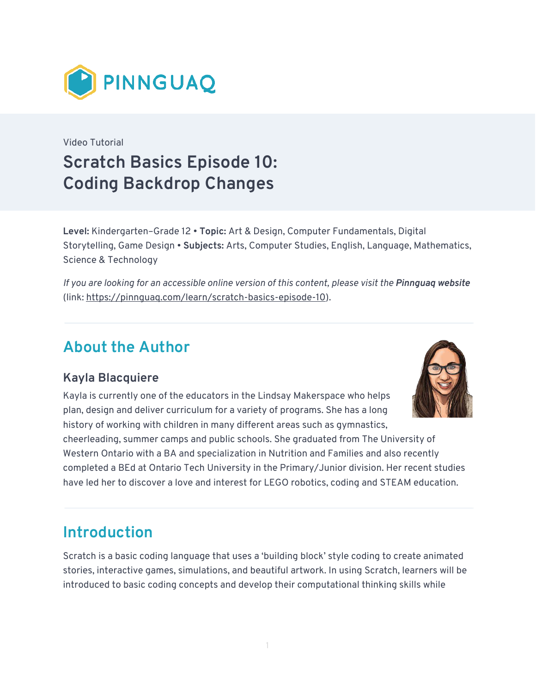

Video Tutorial **Scratch Basics Episode 10: Coding Backdrop Changes** 

**Level:** Kindergarten–Grade 12 • **Topic:** Art & Design, Computer Fundamentals, Digital Storytelling, Game Design • **Subjects:** Arts, Computer Studies, English, Language, Mathematics, Science & Technology

*If you are looking for an accessible online version of this content, please visit the Pinnguaq website* (link:<https://pinnguaq.com/learn/scratch-basics-episode-10>).

# **About the Author**

#### **Kayla Blacquiere**

Kayla is currently one of the educators in the Lindsay Makerspace who helps plan, design and deliver curriculum for a variety of programs. She has a long history of working with children in many different areas such as gymnastics,



cheerleading, summer camps and public schools. She graduated from The University of Western Ontario with a BA and specialization in Nutrition and Families and also recently completed a BEd at Ontario Tech University in the Primary/Junior division. Her recent studies have led her to discover a love and interest for LEGO robotics, coding and STEAM education.

# **Introduction**

Scratch is a basic coding language that uses a 'building block' style coding to create animated stories, interactive games, simulations, and beautiful artwork. In using Scratch, learners will be introduced to basic coding concepts and develop their computational thinking skills while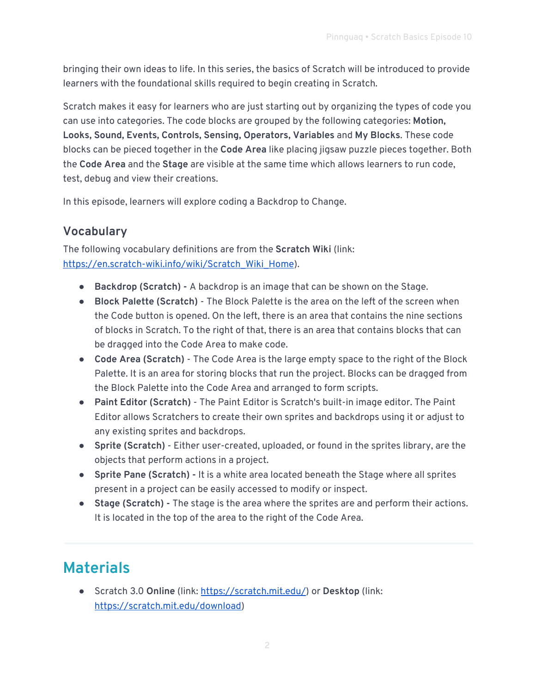bringing their own ideas to life. In this series, the basics of Scratch will be introduced to provide learners with the foundational skills required to begin creating in Scratch.

Scratch makes it easy for learners who are just starting out by organizing the types of code you can use into categories. The code blocks are grouped by the following categories: **Motion, Looks, Sound, Events, Controls, Sensing, Operators, Variables** and **My Blocks**. These code blocks can be pieced together in the **Code Area** like placing jigsaw puzzle pieces together. Both the **Code Area** and the **Stage** are visible at the same time which allows learners to run code, test, debug and view their creations.

In this episode, learners will explore coding a Backdrop to Change.

#### **Vocabulary**

The following vocabulary definitions are from the **Scratch Wiki** (link: [https://en.scratch-wiki.info/wiki/Scratch\\_Wiki\\_Home](https://en.scratch-wiki.info/wiki/Scratch_Wiki_Home)).

- **Backdrop (Scratch)** A backdrop is an image that can be shown on the Stage.
- **Block Palette (Scratch)**  The Block Palette is the area on the left of the screen when the Code button is opened. On the left, there is an area that contains the nine sections of blocks in Scratch. To the right of that, there is an area that contains blocks that can be dragged into the Code Area to make code.
- **Code Area (Scratch)**  The Code Area is the large empty space to the right of the Block Palette. It is an area for storing blocks that run the project. Blocks can be dragged from the Block Palette into the Code Area and arranged to form scripts.
- **Paint Editor (Scratch)**  The Paint Editor is Scratch's built-in image editor. The Paint Editor allows Scratchers to create their own sprites and backdrops using it or adjust to any existing sprites and backdrops.
- **Sprite (Scratch)** Either user-created, uploaded, or found in the sprites library, are the objects that perform actions in a project.
- **Sprite Pane (Scratch) -** It is a white area located beneath the Stage where all sprites present in a project can be easily accessed to modify or inspect.
- **Stage (Scratch) -** The stage is the area where the sprites are and perform their actions. It is located in the top of the area to the right of the Code Area.

# **Materials**

● Scratch 3.0 **Online** (link: [https://scratch.mit.edu/\)](https://scratch.mit.edu/) or **Desktop** (link: [https://scratch.mit.edu/download\)](https://scratch.mit.edu/download)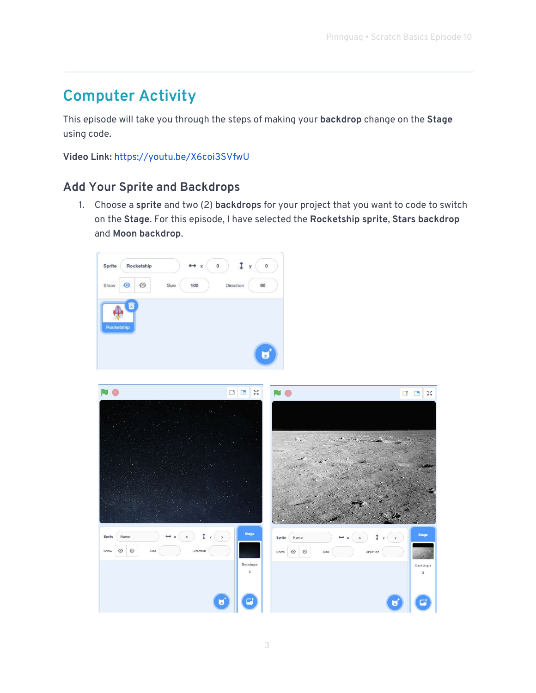# **Computer Activity**

This episode will take you through the steps of making your **backdrop** change on the **Stage** using code.

**Video Link:** <https://youtu.be/X6coi3SVfwU>

#### **Add Your Sprite and Backdrops**

1. Choose a **sprite** and two (2) **backdrops** for your project that you want to code to switch on the **Stage**. For this episode, I have selected the **Rocketship sprite**, **Stars backdrop**  and **Moon backdrop**.



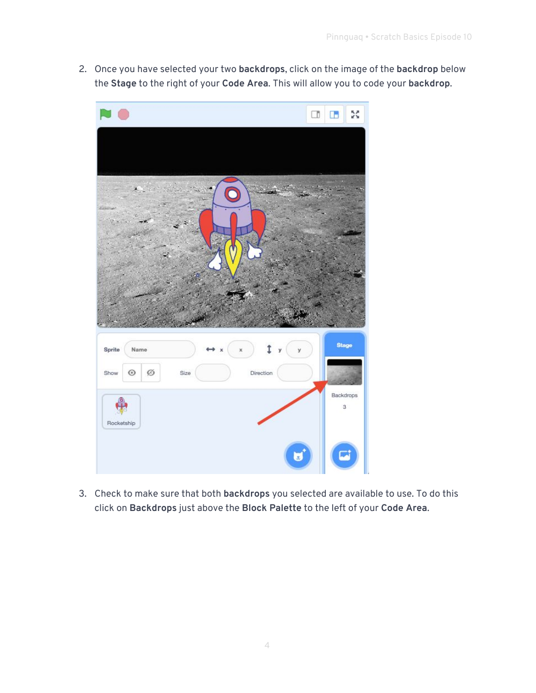2. Once you have selected your two **backdrops**, click on the image of the **backdrop** below the **Stage** to the right of your **Code Area**. This will allow you to code your **backdrop**.



3. Check to make sure that both **backdrops** you selected are available to use. To do this click on **Backdrops** just above the **Block Palette** to the left of your **Code Area**.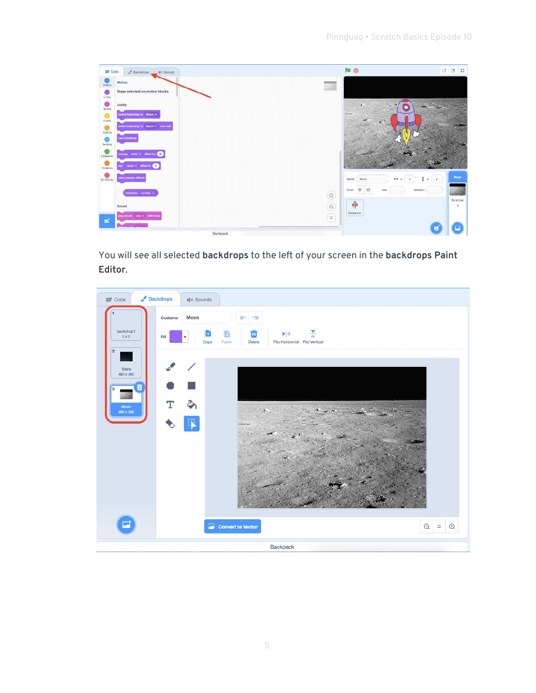| <b>Lift</b> Code              | Backdrops<br>di Sounds             |          | 颰                                                                           | $\mathbb{N}$<br><b>D</b> m    |
|-------------------------------|------------------------------------|----------|-----------------------------------------------------------------------------|-------------------------------|
| $\frac{1}{M}$                 | Motion                             |          |                                                                             |                               |
| C<br>Lowis                    | Stage selected: no motion blocks   |          |                                                                             |                               |
| $\bullet$<br>Scund<br>$\circ$ | Looks<br>wwitch backdrop to Moon . |          | ж.                                                                          |                               |
| Events<br>$rac{1}{\sqrt{2}}$  | witch backdrap to Moon's und with  |          |                                                                             |                               |
| $\frac{1}{2}$                 | next backdrop                      |          |                                                                             |                               |
| <b>C</b> paratora             | 25<br>color * affect by            |          |                                                                             |                               |
| $\frac{1}{\frac{1}{2}}$       | code = affact to C                 |          |                                                                             |                               |
| $wY$ Bocia                    | clear graphic effects              |          | Sprite<br>$+1$<br>Name                                                      | Ringer<br>$\mathbf{v}$<br>1.7 |
|                               | backdrop: masber =                 |          | ø<br>$\circ$<br>Show:<br><b>Size</b><br>--<br>$\textcircled{\scriptsize a}$ | Direction<br>Backdroom        |
|                               | Sound                              |          | ą,<br>$\odot$                                                               | $\pi$                         |
| $\blacksquare$                | play sqund pop + until dom         |          | Nodestates<br>$=$                                                           |                               |
|                               |                                    | Backpack |                                                                             | a.                            |

You will see all selected **backdrops** to the left of your screen in the **backdrops Paint Editor**.

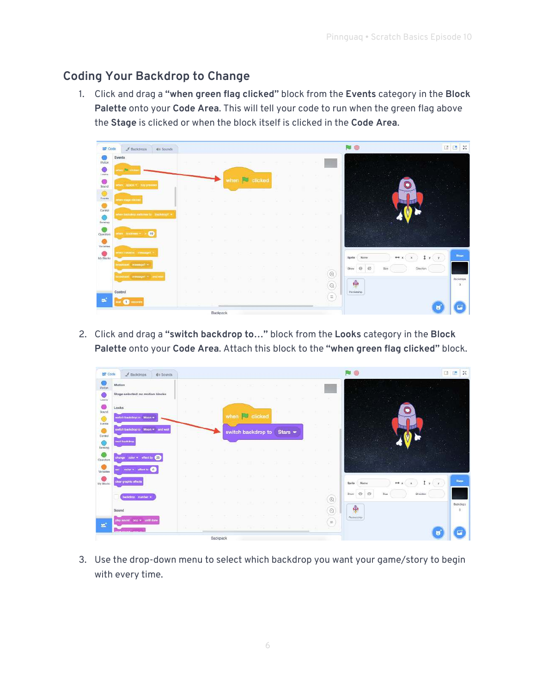#### **Coding Your Backdrop to Change**

1. Click and drag a **"when green flag clicked"** block from the **Events** category in the **Block Palette** onto your **Code Area**. This will tell your code to run when the green flag above the **Stage** is clicked or when the block itself is clicked in the **Code Area**.

| <b>LST</b> Code                        | $$$ Backdrops                                     | 唯0 Sounds    |               |             |              |        |              |                   |                                              | r g                                            | $55$<br>$\Box$<br>G       |
|----------------------------------------|---------------------------------------------------|--------------|---------------|-------------|--------------|--------|--------------|-------------------|----------------------------------------------|------------------------------------------------|---------------------------|
| Motion:<br>$\circ$                     | Events<br>stere <b>Bill common</b>                | <b>SHEET</b> |               |             |              |        |              |                   |                                              |                                                |                           |
| Lonks<br>$\bullet$                     |                                                   |              | when <b>J</b> |             | clicked      |        |              |                   | ver.                                         |                                                |                           |
| Sound<br>$\circ$                       | when appear His pressed                           |              |               |             |              |        |              |                   |                                              |                                                |                           |
| Events<br>$\bullet$                    | etters stage citcles                              | ٠            | . .           | <b>Carl</b> | $\sim$<br>14 |        |              | -                 | w                                            |                                                |                           |
| Control<br>$\bullet$<br><b>Sensing</b> | where Batchchings mattistate for Binchritting # = | ٠            |               |             |              |        |              | $\sim$            | V.                                           | ΠB.                                            |                           |
| Operators                              | 10<br>where Insubtrime with                       |              |               |             |              |        |              |                   | œ                                            |                                                |                           |
| ۰<br>Variables                         |                                                   | rw.          |               |             |              |        | ٠            | <b>CONTRACTOR</b> |                                              |                                                |                           |
| $\bullet$<br>My Blocks                 | members announcement                              | on.          |               | 14          |              | $\sim$ | <b>STATE</b> | $\sim$            | TE.                                          | $1$ $y$ $y$<br>89 X<br>Spribe<br>Marne         | <b>Regist</b>             |
|                                        | mediant: memorit-                                 | œ            |               |             |              |        | $\sim$       | $-100$            | <b>STEP</b><br>$\textcircled{\scriptsize 2}$ | Okection<br>$\circ$<br>Show<br>$\odot$<br>Sizi |                           |
|                                        | tmodilam: message1 = and war                      |              |               |             |              |        |              | $\sim$            | $\odot$                                      | 雨                                              | <b>Backdroom</b><br>$\pi$ |
|                                        | Control                                           | . .          |               |             | . .          |        |              | - 11              | $=$                                          | Risclanding.                                   |                           |
|                                        | <b>CENT UDCORD</b>                                |              |               |             |              |        |              |                   |                                              |                                                |                           |
|                                        |                                                   |              | Backpack      |             |              |        |              |                   |                                              |                                                |                           |

2. Click and drag a **"switch backdrop to…"** block from the **Looks** category in the **Block Palette** onto your **Code Area**. Attach this block to the **"when green flag clicked"** block.

| <b>SE</b> Code | Backdrops<br>di Sounds             |                   |        |          |  |              |                            |        |                  |                                                       | $\Box$ | $\frac{8}{25}$<br>E |
|----------------|------------------------------------|-------------------|--------|----------|--|--------------|----------------------------|--------|------------------|-------------------------------------------------------|--------|---------------------|
| Motion.        | Motion                             |                   |        |          |  |              |                            |        |                  |                                                       |        |                     |
| Locks          | Stage selected: no motion blooks   | ×.                |        |          |  |              |                            |        |                  |                                                       |        |                     |
| G<br>Sound     | Looks                              |                   |        |          |  |              |                            |        | $\sim$           | ۰                                                     |        |                     |
| O<br>Events    | witch backdrop to Moon *           |                   |        |          |  | when clicked |                            |        | $\sim$           |                                                       |        |                     |
| e<br>Control   | switch backdrop to Moon . and wait | ×                 | $\sim$ |          |  |              | switch backdrop to Stars + | ×      | - 23             |                                                       |        |                     |
| <b>Senang</b>  | next backdrep                      | . .               |        |          |  |              |                            |        |                  |                                                       |        |                     |
| Operators      | change color = effect by 20        | <b>STATISTICS</b> |        |          |  |              |                            |        | - 10             |                                                       |        |                     |
| Variables      | color + effect to C                |                   |        |          |  |              |                            |        |                  |                                                       |        |                     |
| My Blocks      | dear graphic effects               |                   |        |          |  |              |                            |        | - 10             | $2x +$<br>$++$ $\times$<br>Spritu<br>Name.<br>$\cdot$ |        | <b>Stupe</b>        |
|                | beckdrop number .                  |                   |        |          |  |              |                            |        | 16<br>$^{\odot}$ | $\mathcal{O}$<br>Show: 1<br>Buy<br>Direction          |        |                     |
|                | Sound                              | n.                |        |          |  |              |                            | $\sim$ | $\odot$          | $\ddot{\Phi}$                                         |        | Bookdoops<br>B      |
|                | play sound pop = until done        |                   |        |          |  |              |                            |        | $\equiv$         | Popkotohio                                            |        |                     |
| $\blacksquare$ |                                    |                   |        |          |  |              |                            |        | $\sim$           |                                                       |        |                     |
|                |                                    |                   |        | Backpack |  |              |                            |        |                  |                                                       |        |                     |

3. Use the drop-down menu to select which backdrop you want your game/story to begin with every time.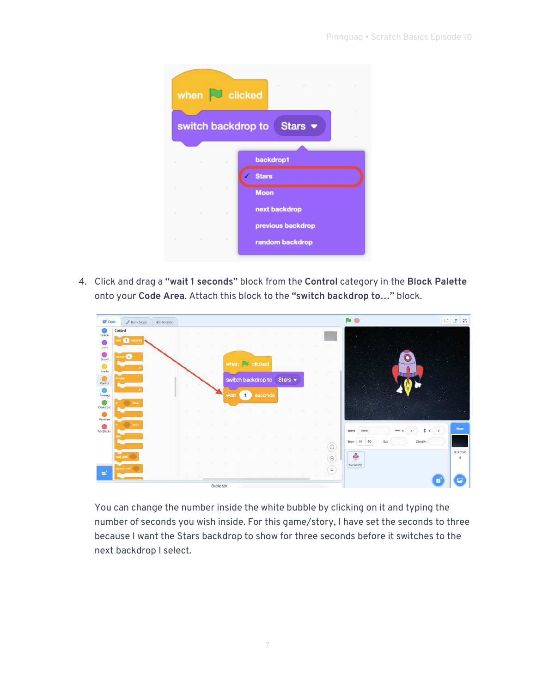|     | when $\Box$ clicked           |          | the control of the control of the<br>The Common<br>$\sim$ |  |
|-----|-------------------------------|----------|-----------------------------------------------------------|--|
|     |                               |          | switch backdrop to Stars ▼                                |  |
|     |                               |          |                                                           |  |
| ٠   | <b>THE R</b>                  | ×        | backdrop1                                                 |  |
|     |                               |          | <b>Stars</b>                                              |  |
| ٠   |                               | ٠        | <b>Moon</b>                                               |  |
| 181 | the control of the control of | $\sim$   | next backdrop                                             |  |
|     |                               |          | previous backdrop                                         |  |
|     |                               | $\alpha$ | random backdrop                                           |  |
|     |                               |          |                                                           |  |

4. Click and drag a **"wait 1 seconds"** block from the **Control** category in the **Block Palette** onto your **Code Area**. Attach this block to the **"switch backdrop to…"** block.

| Code                       | $#$ Backdrops                | di Sounds |                                |            |      |  |                                     |      |      |        |                             |                                  | 陶                                                                                            | o | Œ                           | $\mathbb{M}$ |
|----------------------------|------------------------------|-----------|--------------------------------|------------|------|--|-------------------------------------|------|------|--------|-----------------------------|----------------------------------|----------------------------------------------------------------------------------------------|---|-----------------------------|--------------|
| <b>Motion</b><br>Locks     | Control<br>$\bullet$ seconds |           | $\alpha$<br>œ                  |            |      |  |                                     | n Ki |      | $\sim$ | <b>COLL</b>                 | i v                              |                                                                                              |   |                             |              |
| $rac{1}{2}$<br>0<br>Evento | 10                           |           |                                |            |      |  | when <b>C</b> clicked               |      |      |        |                             | m<br>$\mathcal{M}_{\mathcal{D}}$ |                                                                                              |   |                             |              |
| Control<br>Sensing         |                              |           |                                |            | wall |  | switch backdrop to Stars<br>seconds |      | - 92 | $\sim$ | - 10                        | w                                |                                                                                              |   |                             |              |
| Operators<br>Verlatives    |                              |           | n.                             |            |      |  |                                     |      |      |        | <b>Section</b>              | I R                              |                                                                                              |   |                             |              |
| c<br>My Blocks             |                              |           | $\sim$                         |            |      |  |                                     |      |      |        | $\sim$<br><b>CONTRACTOR</b> | DIG:                             | $x +$<br>$\leftrightarrow x$<br>Sprike<br>Name<br>ø<br>$\odot$<br>Direction<br>Sizu<br>Strow |   | Stage                       |              |
|                            |                              |           | $\mathcal{L}$<br>$\mathcal{L}$ |            |      |  |                                     |      |      |        | $\sim$                      | $^{\copyright}$<br>$^{\circ}$    | $\ddot{\bullet}$<br>Picketship                                                               |   | Backdrops<br>$\overline{3}$ |              |
| Ξ                          |                              |           |                                | Bactionale |      |  |                                     |      |      |        | <b>ALC</b>                  | $=$<br>. .                       |                                                                                              |   |                             |              |

You can change the number inside the white bubble by clicking on it and typing the number of seconds you wish inside. For this game/story, I have set the seconds to three because I want the Stars backdrop to show for three seconds before it switches to the next backdrop I select.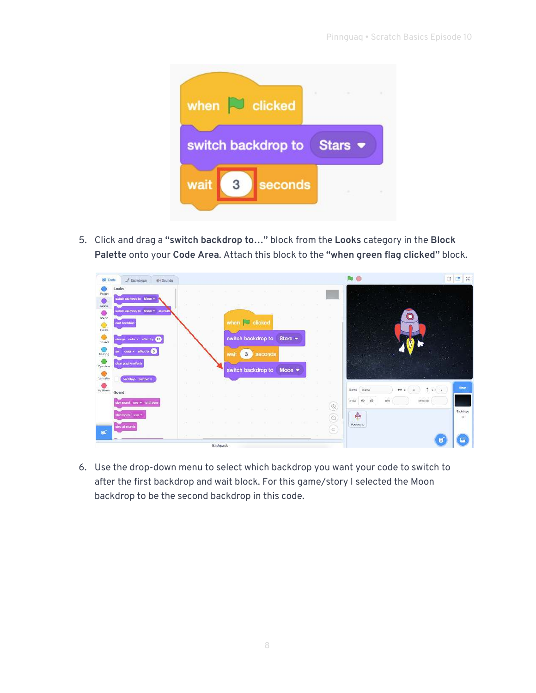

5. Click and drag a **"switch backdrop to…"** block from the **Looks** category in the **Block Palette** onto your **Code Area**. Attach this block to the **"when green flag clicked"** block.



6. Use the drop-down menu to select which backdrop you want your code to switch to after the first backdrop and wait block. For this game/story I selected the Moon backdrop to be the second backdrop in this code.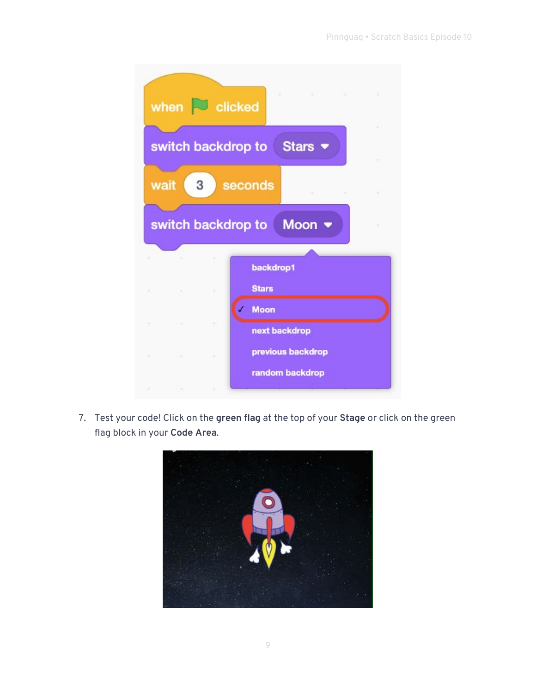|    |                    | when $\sim$ clicked | ×                         | × |
|----|--------------------|---------------------|---------------------------|---|
|    |                    | switch backdrop to  | Stars •                   |   |
|    | wait               | 3                   | seconds                   |   |
|    |                    |                     | switch backdrop to Moon ▼ |   |
|    |                    |                     |                           |   |
|    |                    |                     | backdrop1                 |   |
|    |                    |                     | <b>Stars</b>              |   |
|    |                    |                     | <b>Moon</b>               |   |
|    |                    |                     | next backdrop             |   |
| n. | and the control of |                     | previous backdrop         |   |
| ٠  |                    |                     | random backdrop           |   |

7. Test your code! Click on the **green flag** at the top of your **Stage** or click on the green flag block in your **Code Area**.

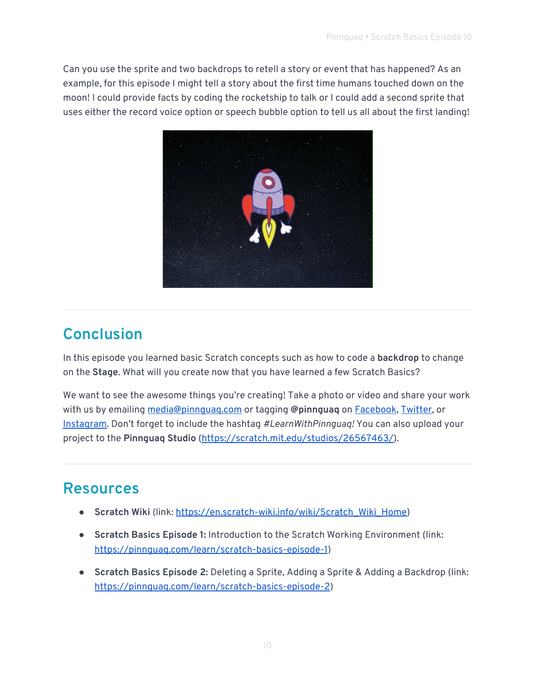Can you use the sprite and two backdrops to retell a story or event that has happened? As an example, for this episode I might tell a story about the first time humans touched down on the moon! I could provide facts by coding the rocketship to talk or I could add a second sprite that uses either the record voice option or speech bubble option to tell us all about the first landing!



### **Conclusion**

In this episode you learned basic Scratch concepts such as how to code a **backdrop** to change on the **Stage**. What will you create now that you have learned a few Scratch Basics?

We want to see the awesome things you're creating! Take a photo or video and share your work with us by emailing [media@pinnguaq.com](mailto:media@pinnguaq.com) or tagging **@pinnguaq** on [Facebook](https://www.facebook.com/Pinnguaq/), [Twitter,](https://twitter.com/pinnguaq) or [Instagram.](https://www.instagram.com/pinnguaq/) Don't forget to include the hashtag *#LearnWithPinnguaq!* You can also upload your project to the **Pinnguaq Studio** [\(https://scratch.mit.edu/studios/26567463/\)](https://scratch.mit.edu/studios/26567463/).

### **Resources**

- **Scratch Wiki** (link: [https://en.scratch-wiki.info/wiki/Scratch\\_Wiki\\_Home\)](https://en.scratch-wiki.info/wiki/Scratch_Wiki_Home)
- **Scratch Basics Episode 1:** Introduction to the Scratch Working Environment (link: <https://pinnguaq.com/learn/scratch-basics-episode-1>)
- **Scratch Basics Episode 2:** Deleting a Sprite, Adding a Sprite & Adding a Backdrop (link: <https://pinnguaq.com/learn/scratch-basics-episode-2>)